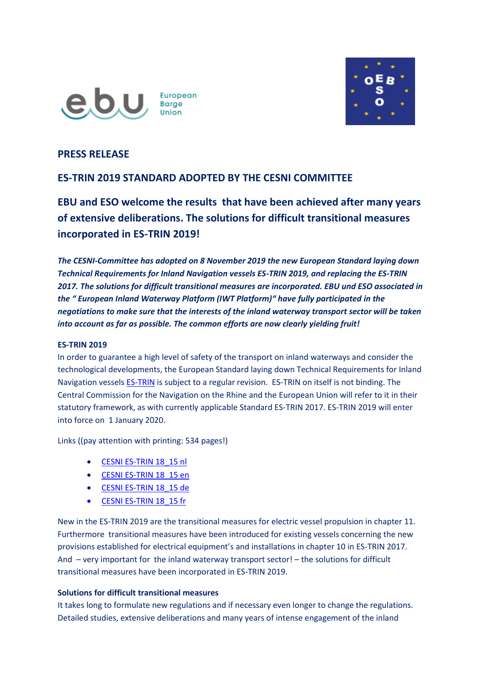



## **PRESS RELEASE**

# **ES-TRIN 2019 STANDARD ADOPTED BY THE CESNI COMMITTEE**

**EBU and ESO welcome the results that have been achieved after many years of extensive deliberations. The solutions for difficult transitional measures incorporated in ES-TRIN 2019!**

*The CESNI-Committee has adopted on 8 November 2019 the new European Standard laying down Technical Requirements for Inland Navigation vessels ES-TRIN 2019, and replacing the ES-TRIN 2017. The solutions for difficult transitional measures are incorporated. EBU und ESO associated in the " European Inland Waterway Platform (IWT Platform)" have fully participated in the negotiations to make sure that the interests of the inland waterway transport sector will be taken into account as far as possible. The common efforts are now clearly yielding fruit!*

## **ES-TRIN 2019**

In order to guarantee a high level of safety of the transport on inland waterways and consider the technological developments, the European Standard laying down Technical Requirements for Inland Navigation vessels **ES-TRIN** is subject to a regular revision. [ES-TRIN](https://cesni.eu/en/documents) on itself is not binding. The Central Commission for the Navigation on the Rhine and the European Union will refer to it in their statutory framework, as with currently applicable Standard ES-TRIN 2017. ES-TRIN 2019 will enter into force on 1 January 2020.

Links ((pay attention with printing: 534 pages!)

- [CESNI ES-TRIN 18\\_15 nl](http://www.ebu-uenf.org/wp-content/uploads/cesni18_15nl.pdf)
- [CESNI ES-TRIN 18\\_15 en](http://www.ebu-uenf.org/wp-content/uploads/cesni18_15en.pdf)
- [CESNI ES-TRIN 18\\_15 de](http://www.ebu-uenf.org/wp-content/uploads/cesni18_15de.pdf)
- [CESNI ES-TRIN 18\\_15 fr](http://www.ebu-uenf.org/wp-content/uploads/cesni18_15fr.pdf)

New in the ES-TRIN 2019 are the transitional measures for electric vessel propulsion in chapter 11. Furthermore transitional measures have been introduced for existing vessels concerning the new provisions established for electrical equipment's and installations in chapter 10 in ES-TRIN 2017. And – very important for the inland waterway transport sector! – the solutions for difficult transitional measures have been incorporated in ES-TRIN 2019.

## **Solutions for difficult transitional measures**

It takes long to formulate new regulations and if necessary even longer to change the regulations. Detailed studies, extensive deliberations and many years of intense engagement of the inland